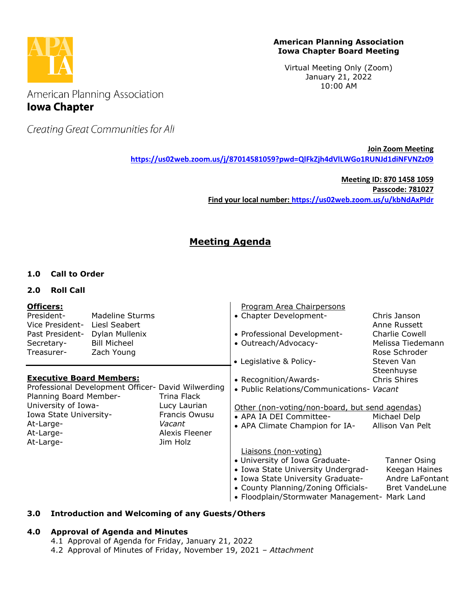

# **American Planning Association Iowa Chapter Board Meeting**

Virtual Meeting Only (Zoom) January 21, 2022 10:00 AM

American Planning Association **Iowa Chapter** 

Creating Great Communities for All

**Join Zoom Meeting <https://us02web.zoom.us/j/87014581059?pwd=QlFkZjh4dVlLWGo1RUNJd1diNFVNZz09>**

> **Meeting ID: 870 1458 1059 Passcode: 781027 Find your local number:<https://us02web.zoom.us/u/kbNdAxPIdr>**

# **Meeting Agenda**

# **1.0 Call to Order**

# **2.0 Roll Call**

| Officers:<br>President-<br>Vice President-<br>Past President-<br>Secretary-<br>Treasurer-                                                                                                                                                                              | Madeline Sturms<br>Liesl Seabert<br>Dylan Mullenix<br><b>Bill Micheel</b><br>Zach Young |                                                                                                                                                                                   | Program Area Chairpersons<br>• Chapter Development-<br>• Professional Development-<br>• Outreach/Advocacy-<br>• Legislative & Policy-                                                                                      | Chris Janson<br>Anne Russett<br>Charlie Cowell<br>Melissa Tiedemann<br>Rose Schroder<br>Steven Van |
|------------------------------------------------------------------------------------------------------------------------------------------------------------------------------------------------------------------------------------------------------------------------|-----------------------------------------------------------------------------------------|-----------------------------------------------------------------------------------------------------------------------------------------------------------------------------------|----------------------------------------------------------------------------------------------------------------------------------------------------------------------------------------------------------------------------|----------------------------------------------------------------------------------------------------|
| <b>Executive Board Members:</b><br>Professional Development Officer- David Wilwerding<br>Planning Board Member-<br>Trina Flack<br>University of Iowa-<br>Lucy Laurian<br>Francis Owusu<br>Iowa State University-<br>At-Large-<br>Vacant<br>At-Large-<br>Alexis Fleener |                                                                                         | • Recognition/Awards-<br>• Public Relations/Communications- Vacant<br>Other (non-voting/non-board, but send agendas)<br>• APA IA DEI Committee-<br>• APA Climate Champion for IA- | Steenhuyse<br>Chris Shires<br>Michael Delp<br>Allison Van Pelt                                                                                                                                                             |                                                                                                    |
| At-Large-                                                                                                                                                                                                                                                              |                                                                                         | Jim Holz                                                                                                                                                                          | Liaisons (non-voting)<br>• University of Iowa Graduate-<br>• Iowa State University Undergrad-<br>• Iowa State University Graduate-<br>• County Planning/Zoning Officials-<br>• Floodplain/Stormwater Management- Mark Land | <b>Tanner Osing</b><br>Keegan Haines<br>Andre LaFontant<br><b>Bret VandeLune</b>                   |

# **3.0 Introduction and Welcoming of any Guests/Others**

# **4.0 Approval of Agenda and Minutes**

- 4.1 Approval of Agenda for Friday, January 21, 2022
- 4.2 Approval of Minutes of Friday, November 19, 2021 *– Attachment*